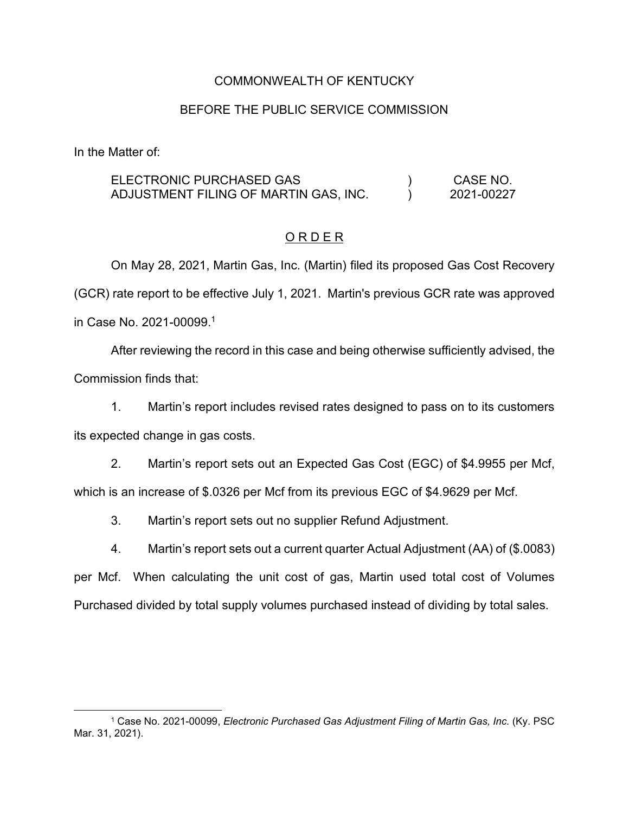### COMMONWEALTH OF KENTUCKY

### BEFORE THE PUBLIC SERVICE COMMISSION

In the Matter of:

ELECTRONIC PURCHASED GAS ADJUSTMENT FILING OF MARTIN GAS, INC.  $\mathcal{L}$  $\mathcal{L}$ CASE NO. 2021-00227

# O R D E R

On May 28, 2021, Martin Gas, Inc. (Martin) filed its proposed Gas Cost Recovery (GCR) rate report to be effective July 1, 2021. Martin's previous GCR rate was approved in Case No. 2021-00099. 1

After reviewing the record in this case and being otherwise sufficiently advised, the Commission finds that:

1. Martin's report includes revised rates designed to pass on to its customers its expected change in gas costs.

2. Martin's report sets out an Expected Gas Cost (EGC) of \$4.9955 per Mcf, which is an increase of \$.0326 per Mcf from its previous EGC of \$4.9629 per Mcf.

3. Martin's report sets out no supplier Refund Adjustment.

4. Martin's report sets out a current quarter Actual Adjustment (AA) of (\$.0083)

per Mcf. When calculating the unit cost of gas, Martin used total cost of Volumes Purchased divided by total supply volumes purchased instead of dividing by total sales.

<sup>1</sup> Case No. 2021-00099, *Electronic Purchased Gas Adjustment Filing of Martin Gas, Inc.* (Ky. PSC Mar. 31, 2021).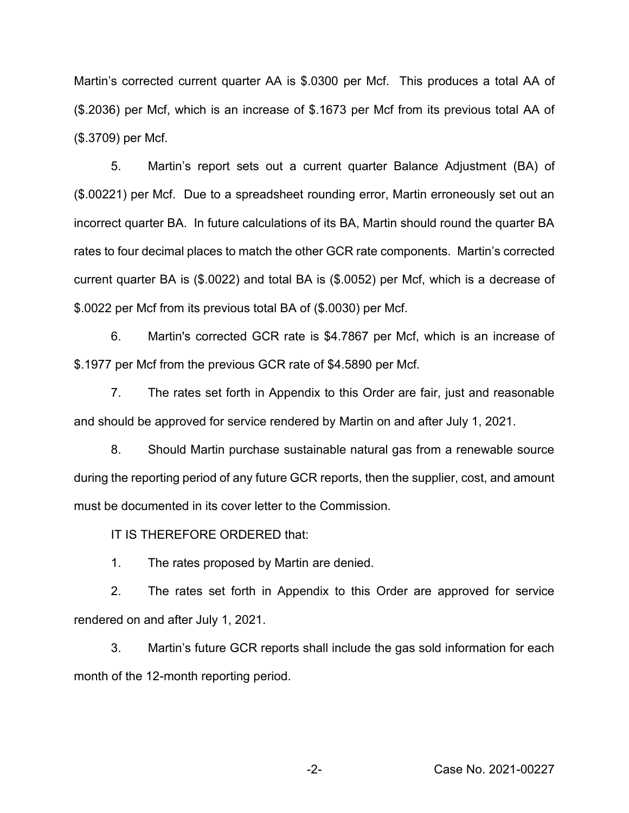Martin's corrected current quarter AA is \$.0300 per Mcf. This produces a total AA of (\$.2036) per Mcf, which is an increase of \$.1673 per Mcf from its previous total AA of (\$.3709) per Mcf.

5. Martin's report sets out a current quarter Balance Adjustment (BA) of (\$.00221) per Mcf. Due to a spreadsheet rounding error, Martin erroneously set out an incorrect quarter BA. In future calculations of its BA, Martin should round the quarter BA rates to four decimal places to match the other GCR rate components. Martin's corrected current quarter BA is (\$.0022) and total BA is (\$.0052) per Mcf, which is a decrease of \$.0022 per Mcf from its previous total BA of (\$.0030) per Mcf.

6. Martin's corrected GCR rate is \$4.7867 per Mcf, which is an increase of \$.1977 per Mcf from the previous GCR rate of \$4.5890 per Mcf.

7. The rates set forth in Appendix to this Order are fair, just and reasonable and should be approved for service rendered by Martin on and after July 1, 2021.

8. Should Martin purchase sustainable natural gas from a renewable source during the reporting period of any future GCR reports, then the supplier, cost, and amount must be documented in its cover letter to the Commission.

IT IS THEREFORE ORDERED that:

1. The rates proposed by Martin are denied.

2. The rates set forth in Appendix to this Order are approved for service rendered on and after July 1, 2021.

3. Martin's future GCR reports shall include the gas sold information for each month of the 12-month reporting period.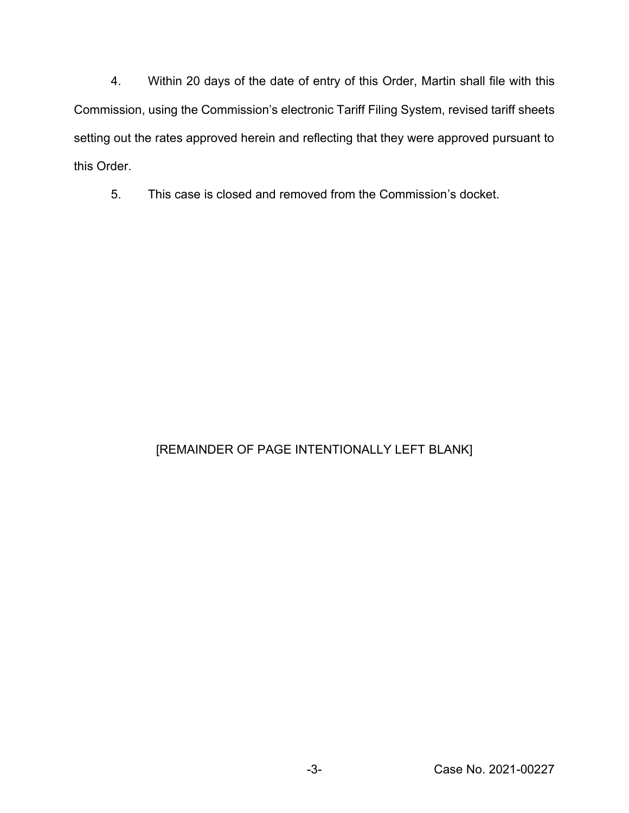4. Within 20 days of the date of entry of this Order, Martin shall file with this Commission, using the Commission's electronic Tariff Filing System, revised tariff sheets setting out the rates approved herein and reflecting that they were approved pursuant to this Order.

5. This case is closed and removed from the Commission's docket.

# [REMAINDER OF PAGE INTENTIONALLY LEFT BLANK]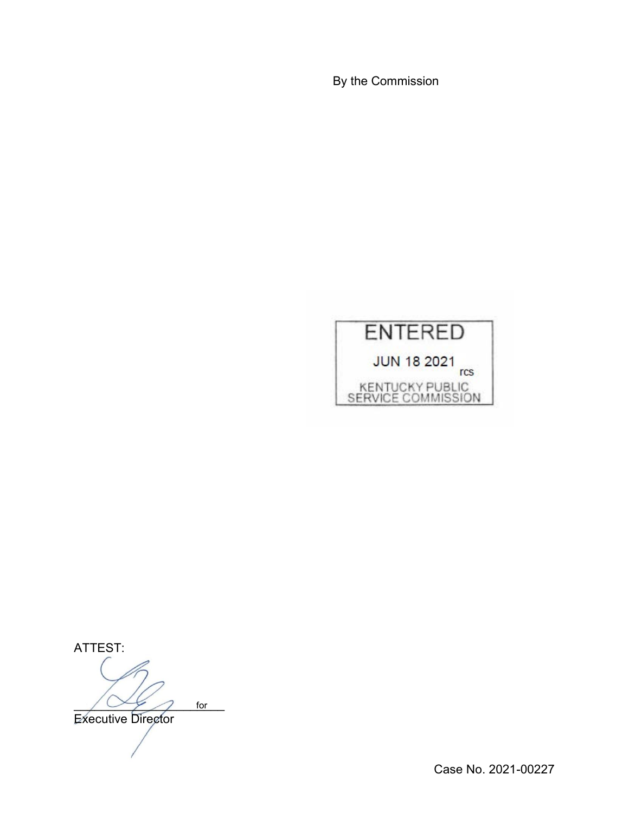By the Commission



ATTEST:  $\sqrt{2\epsilon}$  for **Executive Director** 

Case No. 2021-00227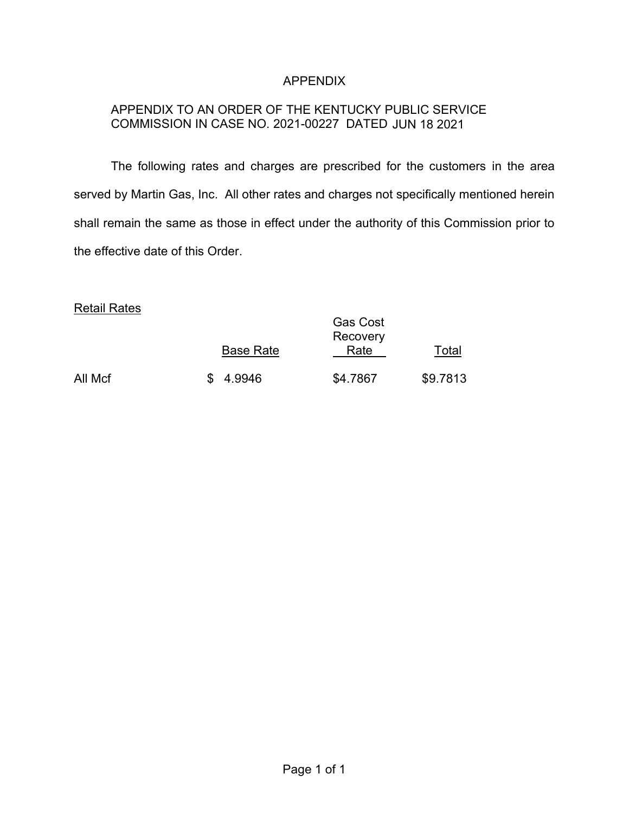# APPENDIX

# APPENDIX TO AN ORDER OF THE KENTUCKY PUBLIC SERVICE COMMISSION IN CASE NO. 2021-00227 DATED JUN 18 2021

The following rates and charges are prescribed for the customers in the area served by Martin Gas, Inc. All other rates and charges not specifically mentioned herein shall remain the same as those in effect under the authority of this Commission prior to the effective date of this Order.

#### Retail Rates

|         | <b>Base Rate</b> | <b>Gas Cost</b><br>Recovery<br>Rate | Total    |
|---------|------------------|-------------------------------------|----------|
| All Mcf | \$4.9946         | \$4.7867                            | \$9.7813 |